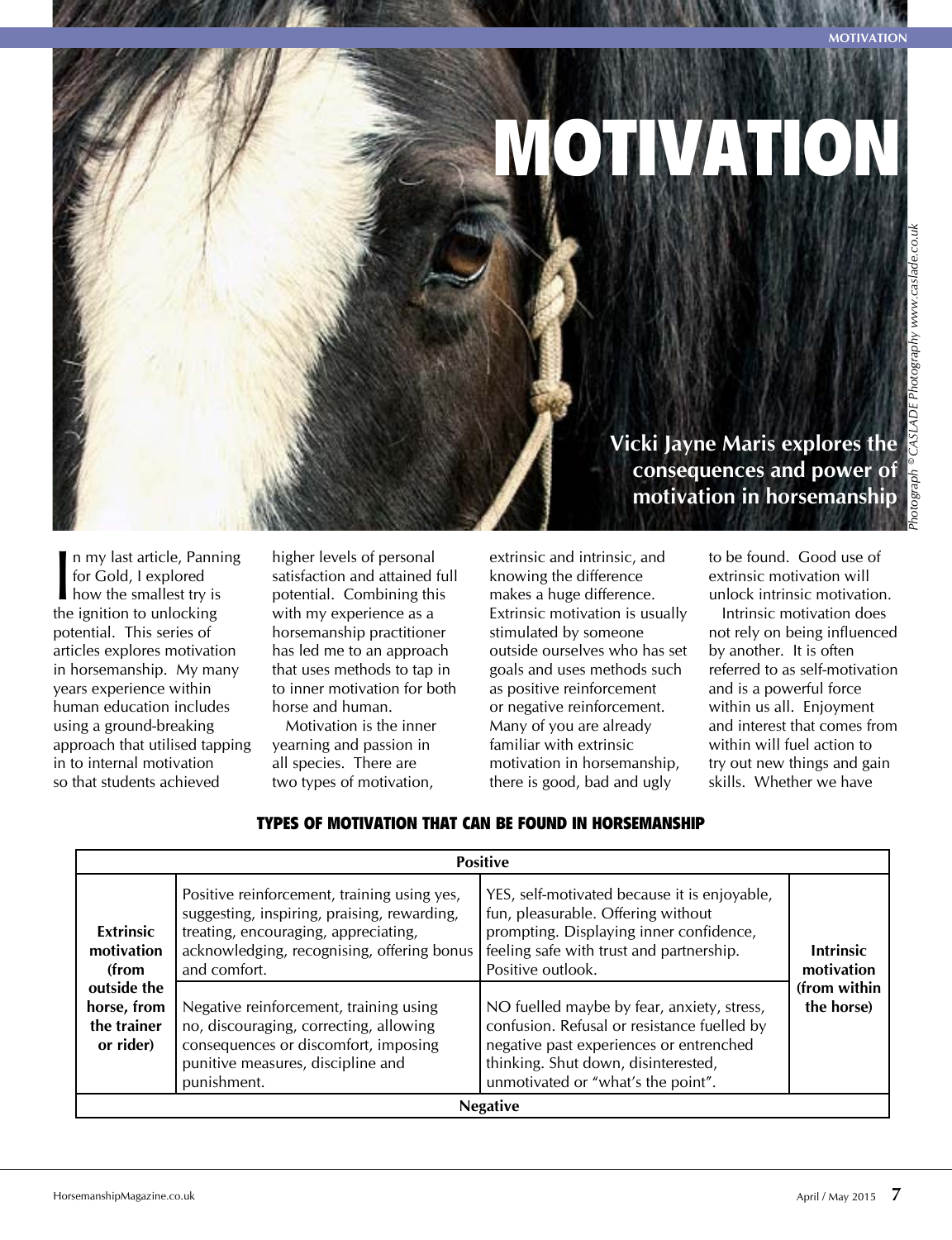**Motivation**

## MOTIVATION

 $\mathbf{l}$ <br>the n my last article, Panning for Gold, I explored how the smallest try is the ignition to unlocking potential. This series of articles explores motivation in horsemanship. My many years experience within human education includes using a ground-breaking approach that utilised tapping in to internal motivation so that students achieved

higher levels of personal satisfaction and attained full potential. Combining this with my experience as a horsemanship practitioner has led me to an approach that uses methods to tap in to inner motivation for both horse and human.

Motivation is the inner yearning and passion in all species. There are two types of motivation,

extrinsic and intrinsic, and knowing the difference makes a huge difference. Extrinsic motivation is usually stimulated by someone outside ourselves who has set goals and uses methods such as positive reinforcement or negative reinforcement. Many of you are already familiar with extrinsic motivation in horsemanship, there is good, bad and ugly

**Vicki Jayne Maris explores the consequences and power of motivation in horsemanship**

> to be found. Good use of extrinsic motivation will unlock intrinsic motivation.

Intrinsic motivation does not rely on being influenced by another. It is often referred to as self-motivation and is a powerful force within us all. Enjoyment and interest that comes from within will fuel action to try out new things and gain skills. Whether we have

| <b>Positive</b>                                                                                   |                                                                                                                                                                                                  |                                                                                                                                                                                                                   |                                                              |
|---------------------------------------------------------------------------------------------------|--------------------------------------------------------------------------------------------------------------------------------------------------------------------------------------------------|-------------------------------------------------------------------------------------------------------------------------------------------------------------------------------------------------------------------|--------------------------------------------------------------|
| <b>Extrinsic</b><br>motivation<br>(from<br>outside the<br>horse, from<br>the trainer<br>or rider) | Positive reinforcement, training using yes,<br>suggesting, inspiring, praising, rewarding,<br>treating, encouraging, appreciating,<br>acknowledging, recognising, offering bonus<br>and comfort. | YES, self-motivated because it is enjoyable,<br>fun, pleasurable. Offering without<br>prompting. Displaying inner confidence,<br>feeling safe with trust and partnership.<br>Positive outlook.                    | <b>Intrinsic</b><br>motivation<br>(from within<br>the horse) |
|                                                                                                   | Negative reinforcement, training using<br>no, discouraging, correcting, allowing<br>consequences or discomfort, imposing<br>punitive measures, discipline and<br>punishment.                     | NO fuelled maybe by fear, anxiety, stress,<br>confusion. Refusal or resistance fuelled by<br>negative past experiences or entrenched<br>thinking. Shut down, disinterested,<br>unmotivated or "what's the point". |                                                              |
| <b>Negative</b>                                                                                   |                                                                                                                                                                                                  |                                                                                                                                                                                                                   |                                                              |

## Types of motivation that can be found in horsemanship